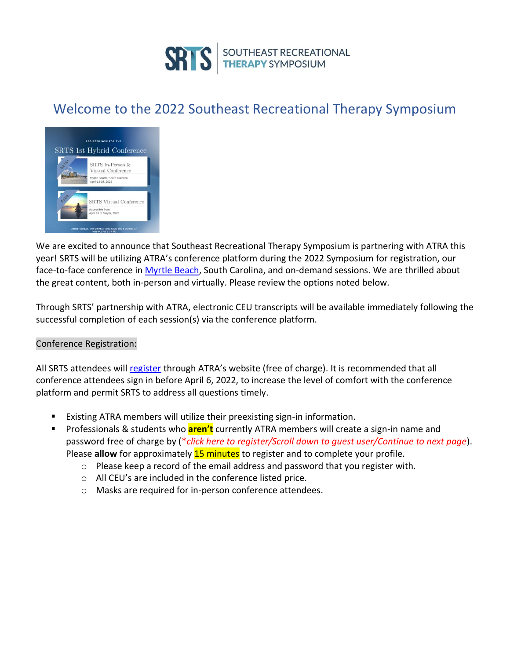

# Welcome to the 2022 Southeast Recreational Therapy Symposium



We are excited to announce that Southeast Recreational Therapy Symposium is partnering with ATRA this year! SRTS will be utilizing ATRA's conference platform during the 2022 Symposium for registration, our face-to-face conference in [Myrtle Beach,](https://www.marriott.com/event-reservations/reservation-link.mi?id=1642623368715&key=GRP&app=resvlink) South Carolina, and on-demand sessions. We are thrilled about the great content, both in-person and virtually. Please review the options noted below.

Through SRTS' partnership with ATRA, electronic CEU transcripts will be available immediately following the successful completion of each session(s) via the conference platform.

#### Conference Registration:

All SRTS attendees wil[l register](https://www.pathlms.com/atra/courses/36475) through ATRA's website (free of charge). It is recommended that all conference attendees sign in before April 6, 2022, to increase the level of comfort with the conference platform and permit SRTS to address all questions timely.

- Existing ATRA members will utilize their preexisting sign-in information.
- Professionals & students who **aren't** currently ATRA members will create a sign-in name and password free of charge by (\**click here to register/Scroll down to guest user/Continue to next page*). Please **allow** for approximately **15 minutes** to register and to complete your profile.
	- $\circ$  Please keep a record of the email address and password that you register with.
	- o All CEU's are included in the conference listed price.
	- o Masks are required for in-person conference attendees.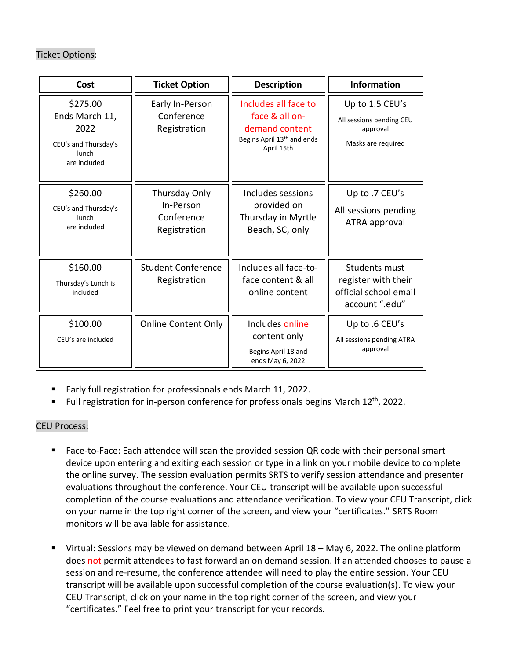## Ticket Options:

| Cost                                                                                | <b>Ticket Option</b>                                     | <b>Description</b>                                                                                   | <b>Information</b>                                                              |
|-------------------------------------------------------------------------------------|----------------------------------------------------------|------------------------------------------------------------------------------------------------------|---------------------------------------------------------------------------------|
| \$275.00<br>Ends March 11,<br>2022<br>CEU's and Thursday's<br>lunch<br>are included | Early In-Person<br>Conference<br>Registration            | Includes all face to<br>face & all on-<br>demand content<br>Begins April 13th and ends<br>April 15th | Up to 1.5 CEU's<br>All sessions pending CEU<br>approval<br>Masks are required   |
| \$260.00<br>CEU's and Thursday's<br>lunch<br>are included                           | Thursday Only<br>In-Person<br>Conference<br>Registration | Includes sessions<br>provided on<br>Thursday in Myrtle<br>Beach, SC, only                            | Up to .7 CEU's<br>All sessions pending<br>ATRA approval                         |
| \$160.00<br>Thursday's Lunch is<br>included                                         | <b>Student Conference</b><br>Registration                | Includes all face-to-<br>face content & all<br>online content                                        | Students must<br>register with their<br>official school email<br>account ".edu" |
| \$100.00<br>CEU's are included                                                      | <b>Online Content Only</b>                               | Includes online<br>content only<br>Begins April 18 and<br>ends May 6, 2022                           | Up to .6 CEU's<br>All sessions pending ATRA<br>approval                         |

- Early full registration for professionals ends March 11, 2022.
- Full registration for in-person conference for professionals begins March 12<sup>th</sup>, 2022.

### CEU Process:

- Face-to-Face: Each attendee will scan the provided session QR code with their personal smart device upon entering and exiting each session or type in a link on your mobile device to complete the online survey. The session evaluation permits SRTS to verify session attendance and presenter evaluations throughout the conference. Your CEU transcript will be available upon successful completion of the course evaluations and attendance verification. To view your CEU Transcript, click on your name in the top right corner of the screen, and view your "certificates." SRTS Room monitors will be available for assistance.
- Virtual: Sessions may be viewed on demand between April 18 May 6, 2022. The online platform does not permit attendees to fast forward an on demand session. If an attended chooses to pause a session and re-resume, the conference attendee will need to play the entire session. Your CEU transcript will be available upon successful completion of the course evaluation(s). To view your CEU Transcript, click on your name in the top right corner of the screen, and view your "certificates." Feel free to print your transcript for your records.